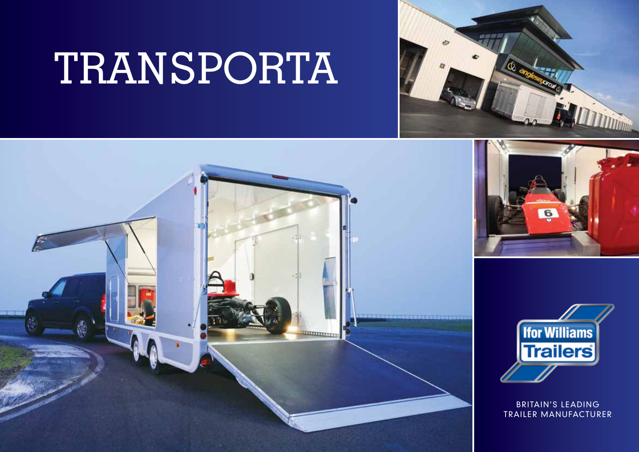# TRANSPORTA









BRITAIN'S LEADING TRAILER MANUFACTURER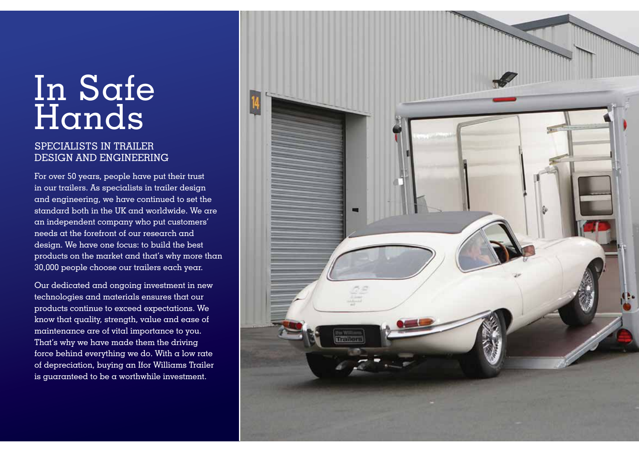## In Safe Hands

#### SPECIALISTS IN TRAILER DESIGN AND ENGINEERING

For over 50 years, people have put their trust in our trailers. As specialists in trailer design and engineering, we have continued to set the standard both in the UK and worldwide. We are an independent company who put customers' needs at the forefront of our research and design. We have one focus: to build the best products on the market and that's why more than 30,000 people choose our trailers each year.

Our dedicated and ongoing investment in new technologies and materials ensures that our products continue to exceed expectations. We know that quality, strength, value and ease of maintenance are of vital importance to you. That's why we have made them the driving force behind everything we do. With a low rate of depreciation, buying an Ifor Williams Trailer is guaranteed to be a worthwhile investment.

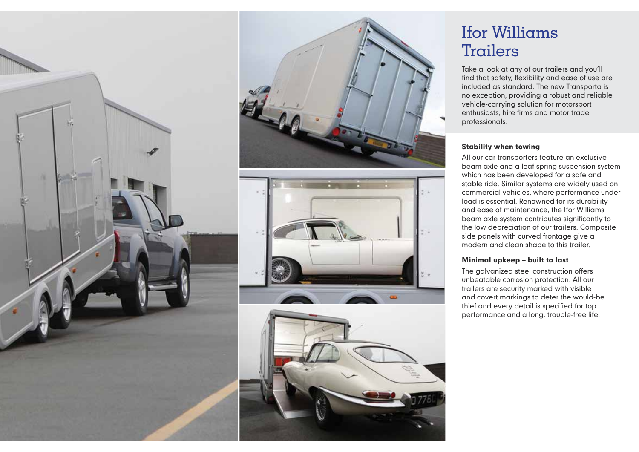







## Ifor Williams Trailers

Take a look at any of our trailers and you'll find that safety, flexibility and ease of use are included as standard. The new Transporta is no exception, providing a robust and reliable vehicle-carrying solution for motorsport enthusiasts, hire firms and motor trade professionals.

#### Stability when towing

All our car transporters feature an exclusive beam axle and a leaf spring suspension system which has been developed for a safe and stable ride. Similar systems are widely used on commercial vehicles, where performance under load is essential. Renowned for its durability and ease of maintenance, the Ifor Williams beam axle system contributes significantly to the low depreciation of our trailers. Composite side panels with curved frontage give a modern and clean shape to this trailer.

#### Minimal upkeep – built to last

The galvanized steel construction offers unbeatable corrosion protection. All our trailers are security marked with visible and covert markings to deter the would-be thief and every detail is specified for top performance and a long, trouble-free life.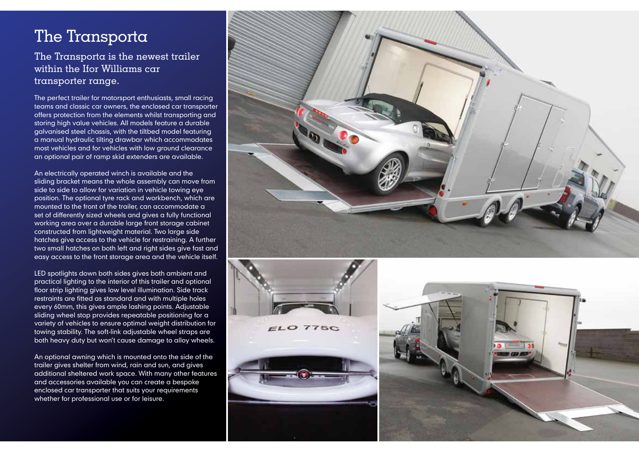## The Transporta

#### The Transporta is the newest trailer within the Ifor Williams car transporter range.

The perfect trailer for motorsport enthusiasts, small racing teams and classic car owners, the enclosed car transporter offers protection from the elements whilst transporting and storing high value vehicles. All models feature a durable galvanised steel chassis, with the tiltbed model featuring a manual hydraulic tilting drawbar which accommodates most vehicles and for vehicles with low ground clearance an optional pair of ramp skid extenders are available.

An electrically operated winch is available and the sliding bracket means the whole assembly can move from side to side to allow for variation in vehicle towing eye position. The optional tyre rack and workbench, which are mounted to the front of the trailer, can accommodate a set of differently sized wheels and gives a fully functional working area over a durable large front storage cabinet constructed from lightweight material. Two large side hatches give access to the vehicle for restraining. A further two small hatches on both left and right sides give fast and easy access to the front storage area and the vehicle itself.

LED spotlights down both sides gives both ambient and practical lighting to the interior of this trailer and optional floor strip lighting gives low level illumination. Side track restraints are fitted as standard and with multiple holes every 60mm, this gives ample lashing points. Adjustable sliding wheel stop provides repeatable positioning for a variety of vehicles to ensure optimal weight distribution for towing stability. The soft-link adjustable wheel straps are both heavy duty but won't cause damage to alloy wheels.

An optional awning which is mounted onto the side of the trailer gives shelter from wind, rain and sun, and gives additional sheltered work space. With many other features and accessories available you can create a bespoke enclosed car transporter that suits your requirements whether for professional use or for leisure.





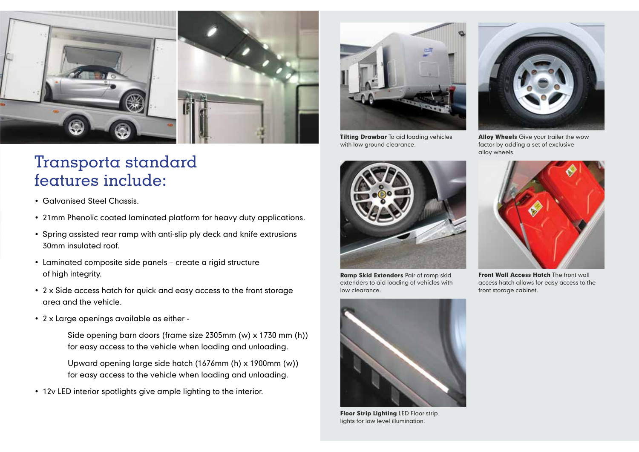

## Transporta standard features include:

- Galvanised Steel Chassis.
- 21mm Phenolic coated laminated platform for heavy duty applications.
- Spring assisted rear ramp with anti-slip ply deck and knife extrusions 30mm insulated roof.
- Laminated composite side panels create a rigid structure of high integrity.
- 2 x Side access hatch for quick and easy access to the front storage area and the vehicle.
- 2 x Large openings available as either
	- Side opening barn doors (frame size 2305mm (w) x 1730 mm (h)) for easy access to the vehicle when loading and unloading.
	- Upward opening large side hatch (1676mm (h) x 1900mm (w)) for easy access to the vehicle when loading and unloading.
- 12v LED interior spotlights give ample lighting to the interior.



**Tilting Drawbar** To aid loading vehicles with low ground clearance.



**Ramp Skid Extenders Pair of ramp skid** extenders to aid loading of vehicles with low clearance.



Floor Strip Lighting LED Floor strip lights for low level illumination.



**Alloy Wheels** Give your trailer the wow factor by adding a set of exclusive alloy wheels.



Front Wall Access Hatch The front wall access hatch allows for easy access to the front storage cabinet.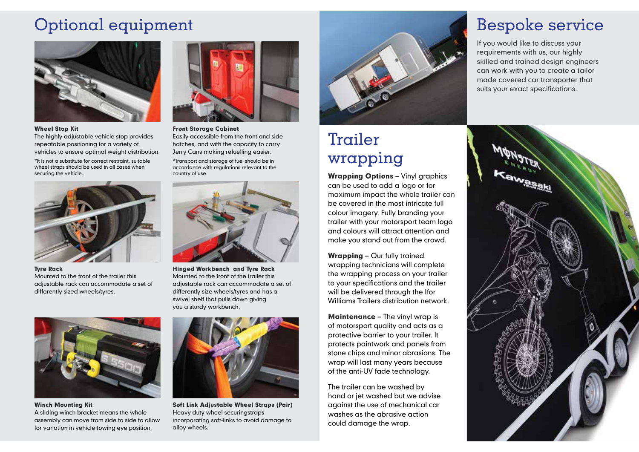## Optional equipment



#### Wheel Stop Kit

The highly adjustable vehicle stop provides repeatable positioning for a variety of vehicles to ensure optimal weight distribution.

\*It is not a substitute for correct restraint, suitable wheel straps should be used in all cases when securing the vehicle.



Tyre Rack Mounted to the front of the trailer this adjustable rack can accommodate a set of differently sized wheels/tyres.



Winch Mounting Kit A sliding winch bracket means the whole assembly can move from side to side to allow for variation in vehicle towing eye position.



Front Storage Cabinet Easily accessible from the front and side hatches, and with the capacity to carry Jerry Cans making refuelling easier.

\*Transport and storage of fuel should be in accordance with regulations relevant to the country of use.



Hinged Workbench and Tyre Rack Mounted to the front of the trailer this adjustable rack can accommodate a set of differently size wheels/tyres and has a swivel shelf that pulls down giving you a sturdy workbench.



Soft Link Adjustable Wheel Straps (Pair) Heavy duty wheel securingstraps incorporating soft-links to avoid damage to alloy wheels.



## Trailer wrapping

Wrapping Options - Vinyl graphics can be used to add a logo or for maximum impact the whole trailer can be covered in the most intricate full colour imagery. Fully branding your trailer with your motorsport team logo and colours will attract attention and make you stand out from the crowd.

Wrapping – Our fully trained wrapping technicians will complete the wrapping process on your trailer to your specifications and the trailer will be delivered through the Ifor Williams Trailers distribution network.

Maintenance – The vinyl wrap is of motorsport quality and acts as a protective barrier to your trailer. It protects paintwork and panels from stone chips and minor abrasions. The wrap will last many years because of the anti-UV fade technology.

The trailer can be washed by hand or jet washed but we advise against the use of mechanical car washes as the abrasive action could damage the wrap.

## Bespoke service

If you would like to discuss your requirements with us, our highly skilled and trained design engineers can work with you to create a tailor made covered car transporter that suits your exact specifications.

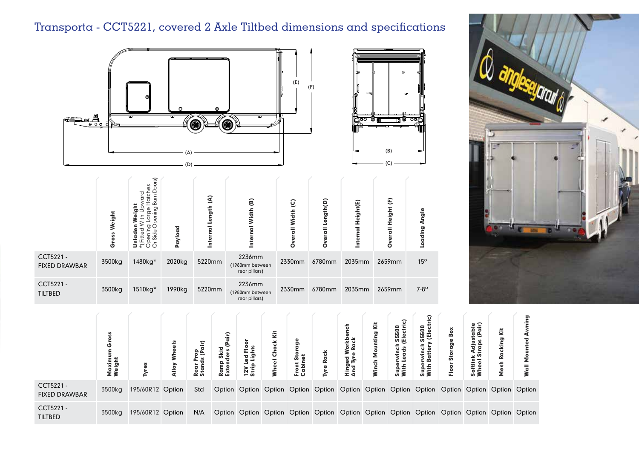## Transporta - CCT5221, covered 2 Axle Tiltbed dimensions and specifications



|                                   | Weight<br>oss<br>ტ | <u> 15</u><br>S<br>≏<br>$\cup$<br>മ്<br>তা<br>σC<br>ᅙ<br>āة<br>Ω<br>5<br>≅<br>ΟŌ | Payload | $\widehat{\mathbf{d}}$<br>ength<br>ᇹ<br>Intern | ම<br>Width<br>Inte                         | $\overline{Q}$<br>all Width<br>Ο | Length(D)<br>玉<br>O | al Height(E)<br>lntei | $\widehat{\mathbf{t}}$<br>Height<br>릉<br>a | ngle<br>ading |
|-----------------------------------|--------------------|----------------------------------------------------------------------------------|---------|------------------------------------------------|--------------------------------------------|----------------------------------|---------------------|-----------------------|--------------------------------------------|---------------|
| CCT5221 -<br><b>FIXED DRAWBAR</b> | 3500kg             | 1480kg*                                                                          | 2020kg  | 5220mm                                         | 2236mm<br>(1980mm between<br>rear pillars) | 2330mm                           | 6780mm              | 2035mm                | 2659mm                                     | $15^{\circ}$  |
| CCT5221 -<br><b>TILTBED</b>       | 3500kg             | 1510kg*                                                                          | 1990kg  | 5220mm                                         | 2236mm<br>(1980mm between<br>rear pillars) | 2330mm                           | 6780mm              | 2035mm                | 2659mm                                     | $7-8^\circ$   |



|                                   | εã<br><u>פּ. ד</u><br>Σ<br>ΣŠ | Tyres            | ≳<br>Alloy | op<br>(Pair)<br>ಕೆ<br>៵<br>tan<br>≃ ທ | ≎<br>$\overline{a}$<br>Skid<br>ders<br>Ramp<br>Exten | ed Flo<br>Lights<br>12VL<br>Strip | š<br>玉<br>င်္င<br>$\overline{\bullet}$ | ه<br>Ō<br>ō<br>۰<br>E.<br>ā<br>o | <b>Rack</b> | nch<br>∡ ه<br><u>ō Ro</u><br>Hinged<br>And Tyre         | š<br>nting<br>ş<br>Winch | ଦ<br>$\overline{a}$<br>S550<br>Electi<br>Ę<br>Supe<br>With | ric)<br><b>S5500</b><br>(Electi<br>winch<br>kattery<br>2 മ<br>Supe<br>With | ≏<br>ō<br>ທ<br>은 | ⊆ ≗<br>tabi<br>(Pai<br>ಠ<br>$\bullet$ | š<br>ත<br>≃                 | =<br>ō |
|-----------------------------------|-------------------------------|------------------|------------|---------------------------------------|------------------------------------------------------|-----------------------------------|----------------------------------------|----------------------------------|-------------|---------------------------------------------------------|--------------------------|------------------------------------------------------------|----------------------------------------------------------------------------|------------------|---------------------------------------|-----------------------------|--------|
| CCT5221 -<br><b>FIXED DRAWBAR</b> | 3500kg                        | 195/60R12 Option |            | Std                                   | Option                                               |                                   |                                        |                                  |             | Option Option Option Option Option Option Option Option |                          |                                                            |                                                                            |                  |                                       | Option Option Option Option |        |
| CCT5221 -<br><b>TILTBED</b>       | 3500kg                        | 195/60R12 Option |            | N/A                                   | Option                                               |                                   |                                        |                                  |             | Option Option Option Option Option Option Option Option |                          |                                                            |                                                                            |                  |                                       | Option Option Option Option |        |

 $(R)$ (C)